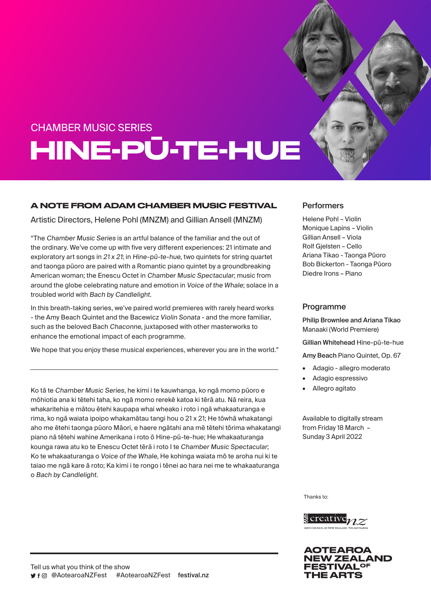# CHAMBER MUSIC SERIES HINE-PŪ-TE-HUE

### A NOTE FROM ADAM CHAMBER MUSIC FESTIVAL

Artistic Directors, Helene Pohl (MNZM) and Gillian Ansell (MNZM)

"The Chamber Music Series is an artful balance of the familiar and the out of the ordinary. We've come up with five very different experiences: 21 intimate and exploratory art songs in 21 x 21; in Hine-pū-te-hue, two quintets for string quartet and taonga pūoro are paired with a Romantic piano quintet by a groundbreaking American woman; the Enescu Octet in Chamber Music Spectacular; music from around the globe celebrating nature and emotion in Voice of the Whale; solace in a troubled world with Bach by Candlelight.

In this breath-taking series, we've paired world premieres with rarely heard works - the Amy Beach Quintet and the Bacewicz Violin Sonata - and the more familiar, such as the beloved Bach Chaconne, juxtaposed with other masterworks to enhance the emotional impact of each programme.

We hope that you enjoy these musical experiences, wherever you are in the world."

Ko tā te Chamber Music Series, he kimi i te kauwhanga, ko ngā momo pūoro e mōhiotia ana ki tētehi taha, ko ngā momo rerekē katoa ki tērā atu. Nā reira, kua whakaritehia e mātou ētehi kaupapa whai wheako i roto i ngā whakaaturanga e rima, ko ngā waiata ipoipo whakamātau tangi hou o 21 x 21; He tōwhā whakatangi aho me ētehi taonga pūoro Māori, e haere ngātahi ana mē tētehi tōrima whakatangi piano nā tētehi wahine Amerikana i roto ō Hine-pū-te-hue; He whakaaturanga kounga rawa atu ko te Enescu Octet tērā i roto I te Chamber Music Spectacular; Ko te whakaaturanga o Voice of the Whale, He kohinga waiata mō te aroha nui ki te taiao me ngā kare ā roto; Ka kimi i te rongo i tēnei ao hara nei me te whakaaturanga o Bach by Candlelight.

### **Performers**

Helene Pohl – Violin Monique Lapins – Violin Gillian Ansell – Viola Rolf Gjelsten – Cello Ariana Tikao - Taonga Pūoro Bob Bickerton - Taonga Pūoro Diedre Irons – Piano

### Programme

Philip Brownlee and Ariana Tikao Manaaki (World Premiere)

Gillian Whitehead Hine-pū-te-hue

Amy Beach Piano Quintet, Op. 67

- Adagio allegro moderato
- Adagio espressivo
- Allegro agitato

Available to digitally stream from Friday 18 March – Sunday 3 April 2022

Thanks to:



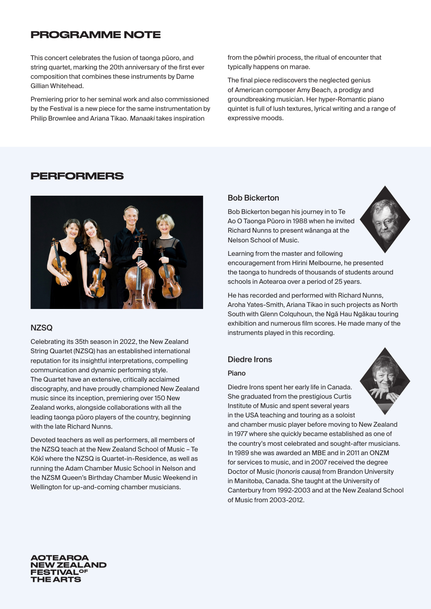## PROGRAMME NOTE

This concert celebrates the fusion of taonga pūoro, and string quartet, marking the 20th anniversary of the first ever composition that combines these instruments by Dame Gillian Whitehead.

Premiering prior to her seminal work and also commissioned by the Festival is a new piece for the same instrumentation by Philip Brownlee and Ariana Tikao. Manaaki takes inspiration

from the pōwhiri process, the ritual of encounter that typically happens on marae.

The final piece rediscovers the neglected genius of American composer Amy Beach, a prodigy and groundbreaking musician. Her hyper-Romantic piano quintet is full of lush textures, lyrical writing and a range of expressive moods.

### PERFORMERS



### **NZSQ**

Celebrating its 35th season in 2022, the New Zealand String Quartet (NZSQ) has an established international reputation for its insightful interpretations, compelling communication and dynamic performing style. The Quartet have an extensive, critically acclaimed discography, and have proudly championed New Zealand music since its inception, premiering over 150 New Zealand works, alongside collaborations with all the leading taonga pūoro players of the country, beginning with the late Richard Nunns.

Devoted teachers as well as performers, all members of the NZSQ teach at the New Zealand School of Music – Te Kōkī where the NZSQ is Quartet-in-Residence, as well as running the Adam Chamber Music School in Nelson and the NZSM Queen's Birthday Chamber Music Weekend in Wellington for up-and-coming chamber musicians.

#### Bob Bickerton

Bob Bickerton began his journey in to Te Ao O Taonga Pūoro in 1988 when he invited Richard Nunns to present wānanga at the Nelson School of Music.



Learning from the master and following encouragement from Hirini Melbourne, he presented the taonga to hundreds of thousands of students around schools in Aotearoa over a period of 25 years.

He has recorded and performed with Richard Nunns, Aroha Yates-Smith, Ariana Tikao in such projects as North South with Glenn Colquhoun, the Nga Hau Ngakau touring exhibition and numerous film scores. He made many of the instruments played in this recording.

### Diedre Irons

#### Piano

Diedre Irons spent her early life in Canada. She graduated from the prestigious Curtis Institute of Music and spent several years in the USA teaching and touring as a soloist



and chamber music player before moving to New Zealand in 1977 where she quickly became established as one of the country's most celebrated and sought-after musicians. In 1989 she was awarded an MBE and in 2011 an ONZM for services to music, and in 2007 received the degree Doctor of Music (honoris causa) from Brandon University in Manitoba, Canada. She taught at the University of Canterbury from 1992-2003 and at the New Zealand School of Music from 2003-2012.

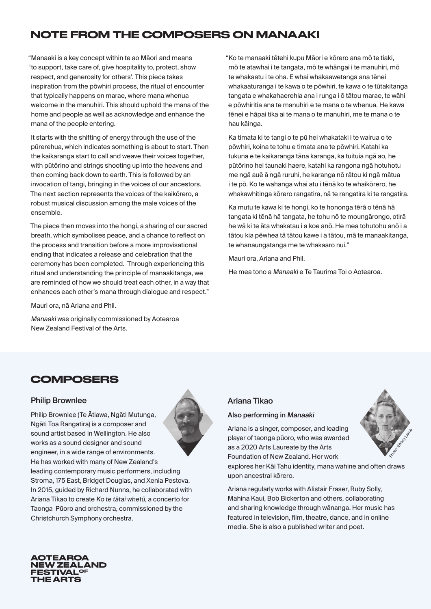# NOTE FROM THE COMPOSERS ON MANAAKI

"Manaaki is a key concept within te ao Māori and means 'to support, take care of, give hospitality to, protect, show respect, and generosity for others'. This piece takes inspiration from the pōwhiri process, the ritual of encounter that typically happens on marae, where mana whenua welcome in the manuhiri. This should uphold the mana of the home and people as well as acknowledge and enhance the mana of the people entering.

It starts with the shifting of energy through the use of the pūrerehua, which indicates something is about to start. Then the kaikaranga start to call and weave their voices together, with pūtōrino and strings shooting up into the heavens and then coming back down to earth. This is followed by an invocation of tangi, bringing in the voices of our ancestors. The next section represents the voices of the kaikōrero, a robust musical discussion among the male voices of the ensemble.

The piece then moves into the hongi, a sharing of our sacred breath, which symbolises peace, and a chance to reflect on the process and transition before a more improvisational ending that indicates a release and celebration that the ceremony has been completed. Through experiencing this ritual and understanding the principle of manaakitanga, we are reminded of how we should treat each other, in a way that enhances each other's mana through dialogue and respect."

Mauri ora, nā Ariana and Phil.

Manaaki was originally commissioned by Aotearoa New Zealand Festival of the Arts.

"Ko te manaaki tētehi kupu Māori e kōrero ana mō te tiaki, mō te atawhai i te tangata, mō te whāngai i te manuhiri, mō te whakaatu i te oha. E whai whakaawetanga ana tēnei whakaaturanga i te kawa o te pōwhiri, te kawa o te tūtakitanga tangata e whakahaerehia ana i runga i ō tātou marae, te wāhi e pōwhiritia ana te manuhiri e te mana o te whenua. He kawa tēnei e hāpai tika ai te mana o te manuhiri, me te mana o te hau kāinga.

Ka timata ki te tangi o te pū hei whakataki i te wairua o te pōwhiri, koina te tohu e timata ana te pōwhiri. Katahi ka tukuna e te kaikaranga tāna karanga, ka tuituia ngā ao, he pūtōrino hei taunaki haere, katahi ka rangona ngā hotuhotu me ngā auē ā ngā ruruhi, he karanga nō rātou ki ngā mātua i te pō. Ko te wahanga whai atu i tēnā ko te whaikōrero, he whakawhitinga kōrero rangatira, nā te rangatira ki te rangatira.

Ka mutu te kawa ki te hongi, ko te hononga tērā o tēnā hā tangata ki tēnā hā tangata, he tohu nō te moungārongo, otirā he wā ki te āta whakatau i a koe anō. He mea tohutohu anō i a tātou kia pēwhea tā tātou kawe i a tātou, mā te manaakitanga, te whanaungatanga me te whakaaro nui."

Mauri ora, Ariana and Phil.

He mea tono a Manaaki e Te Taurima Toi o Aotearoa.

### **COMPOSERS**

### Philip Brownlee

Philip Brownlee (Te Ātiawa, Ngāti Mutunga, Ngāti Toa Rangatira) is a composer and sound artist based in Wellington. He also works as a sound designer and sound engineer, in a wide range of environments. He has worked with many of New Zealand's leading contemporary music performers, including Stroma, 175 East, Bridget Douglas, and Xenia Pestova. In 2015, guided by Richard Nunns, he collaborated with Ariana Tikao to create Ko te tātai whetū, a concerto for Taonga Pūoro and orchestra, commissioned by the Christchurch Symphony orchestra.

### Ariana Tikao

#### Also performing in Manaaki

upon ancestral kōrero.

Ariana is a singer, composer, and leading player of taonga pūoro, who was awarded as a 2020 Arts Laureate by the Arts Foundation of New Zealand. Her work explores her Kāi Tahu identity, mana wahine and often draws

Ariana regularly works with Alistair Fraser, Ruby Solly, Mahina Kaui, Bob Bickerton and others, collaborating and sharing knowledge through wānanga. Her music has featured in television, film, theatre, dance, and in online media. She is also a published writer and poet.

**Photo: Ebony Lambories**